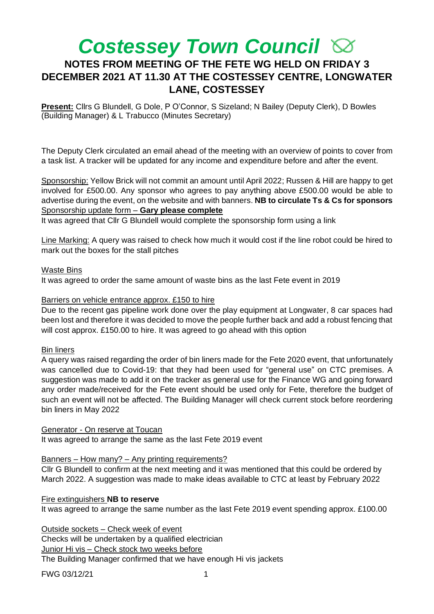# *Costessey Town Council*  **NOTES FROM MEETING OF THE FETE WG HELD ON FRIDAY 3 DECEMBER 2021 AT 11.30 AT THE COSTESSEY CENTRE, LONGWATER LANE, COSTESSEY**

**Present:** Cllrs G Blundell, G Dole, P O'Connor, S Sizeland; N Bailey (Deputy Clerk), D Bowles (Building Manager) & L Trabucco (Minutes Secretary)

The Deputy Clerk circulated an email ahead of the meeting with an overview of points to cover from a task list. A tracker will be updated for any income and expenditure before and after the event.

Sponsorship: Yellow Brick will not commit an amount until April 2022; Russen & Hill are happy to get involved for £500.00. Any sponsor who agrees to pay anything above £500.00 would be able to advertise during the event, on the website and with banners. **NB to circulate Ts & Cs for sponsors**  Sponsorship update form – **Gary please complete**

It was agreed that Cllr G Blundell would complete the sponsorship form using a link

Line Marking: A query was raised to check how much it would cost if the line robot could be hired to mark out the boxes for the stall pitches

# Waste Bins

It was agreed to order the same amount of waste bins as the last Fete event in 2019

# Barriers on vehicle entrance approx. £150 to hire

Due to the recent gas pipeline work done over the play equipment at Longwater, 8 car spaces had been lost and therefore it was decided to move the people further back and add a robust fencing that will cost approx. £150.00 to hire. It was agreed to go ahead with this option

# Bin liners

A query was raised regarding the order of bin liners made for the Fete 2020 event, that unfortunately was cancelled due to Covid-19: that they had been used for "general use" on CTC premises. A suggestion was made to add it on the tracker as general use for the Finance WG and going forward any order made/received for the Fete event should be used only for Fete, therefore the budget of such an event will not be affected. The Building Manager will check current stock before reordering bin liners in May 2022

## Generator - On reserve at Toucan

It was agreed to arrange the same as the last Fete 2019 event

# Banners – How many? – Any printing requirements?

Cllr G Blundell to confirm at the next meeting and it was mentioned that this could be ordered by March 2022. A suggestion was made to make ideas available to CTC at least by February 2022

# Fire extinguishers **NB to reserve**

It was agreed to arrange the same number as the last Fete 2019 event spending approx. £100.00

Outside sockets – Check week of event

Checks will be undertaken by a qualified electrician

Junior Hi vis – Check stock two weeks before

The Building Manager confirmed that we have enough Hi vis jackets

FWG 03/12/21 1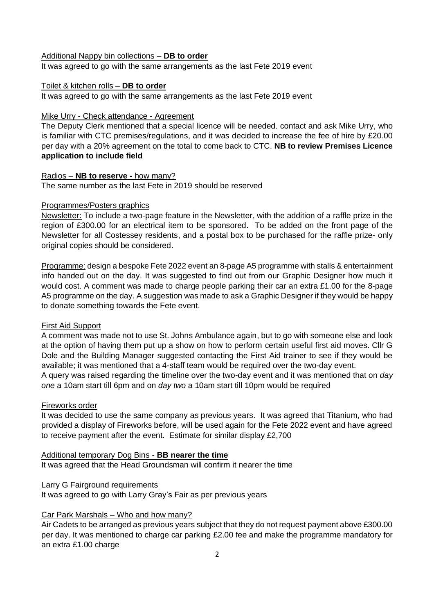#### Additional Nappy bin collections – **DB to order**

It was agreed to go with the same arrangements as the last Fete 2019 event

#### Toilet & kitchen rolls – **DB to order**

It was agreed to go with the same arrangements as the last Fete 2019 event

## Mike Urry - Check attendance - Agreement

The Deputy Clerk mentioned that a special licence will be needed. contact and ask Mike Urry, who is familiar with CTC premises/regulations, and it was decided to increase the fee of hire by £20.00 per day with a 20% agreement on the total to come back to CTC. **NB to review Premises Licence application to include field**

#### Radios – **NB to reserve -** how many?

The same number as the last Fete in 2019 should be reserved

## Programmes/Posters graphics

Newsletter: To include a two-page feature in the Newsletter, with the addition of a raffle prize in the region of £300.00 for an electrical item to be sponsored. To be added on the front page of the Newsletter for all Costessey residents, and a postal box to be purchased for the raffle prize- only original copies should be considered.

Programme: design a bespoke Fete 2022 event an 8-page A5 programme with stalls & entertainment info handed out on the day. It was suggested to find out from our Graphic Designer how much it would cost. A comment was made to charge people parking their car an extra £1.00 for the 8-page A5 programme on the day. A suggestion was made to ask a Graphic Designer if they would be happy to donate something towards the Fete event.

# First Aid Support

A comment was made not to use St. Johns Ambulance again, but to go with someone else and look at the option of having them put up a show on how to perform certain useful first aid moves. Cllr G Dole and the Building Manager suggested contacting the First Aid trainer to see if they would be available; it was mentioned that a 4-staff team would be required over the two-day event.

A query was raised regarding the timeline over the two-day event and it was mentioned that on *day one* a 10am start till 6pm and on *day two* a 10am start till 10pm would be required

## Fireworks order

It was decided to use the same company as previous years. It was agreed that Titanium, who had provided a display of Fireworks before, will be used again for the Fete 2022 event and have agreed to receive payment after the event. Estimate for similar display £2,700

#### Additional temporary Dog Bins - **BB nearer the time**

It was agreed that the Head Groundsman will confirm it nearer the time

## Larry G Fairground requirements

It was agreed to go with Larry Gray's Fair as per previous years

# Car Park Marshals – Who and how many?

Air Cadets to be arranged as previous years subject that they do not request payment above £300.00 per day. It was mentioned to charge car parking £2.00 fee and make the programme mandatory for an extra £1.00 charge